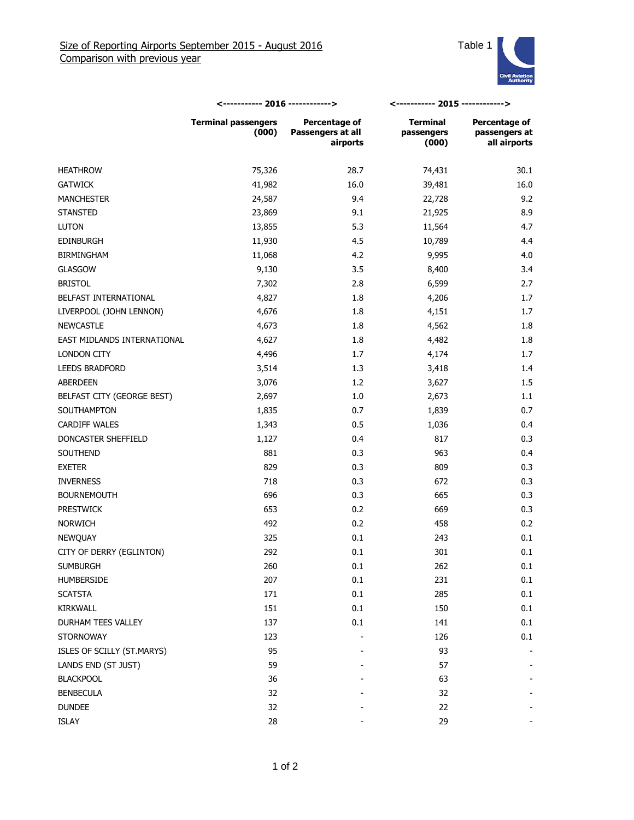

|                             | <----------- 2016 ------------>     |                                                | <----------- 2015 ------------>        |                                                |
|-----------------------------|-------------------------------------|------------------------------------------------|----------------------------------------|------------------------------------------------|
|                             | <b>Terminal passengers</b><br>(000) | Percentage of<br>Passengers at all<br>airports | <b>Terminal</b><br>passengers<br>(000) | Percentage of<br>passengers at<br>all airports |
| <b>HEATHROW</b>             | 75,326                              | 28.7                                           | 74,431                                 | 30.1                                           |
| <b>GATWICK</b>              | 41,982                              | 16.0                                           | 39,481                                 | 16.0                                           |
| <b>MANCHESTER</b>           | 24,587                              | 9.4                                            | 22,728                                 | 9.2                                            |
| <b>STANSTED</b>             | 23,869                              | 9.1                                            | 21,925                                 | 8.9                                            |
| <b>LUTON</b>                | 13,855                              | 5.3                                            | 11,564                                 | 4.7                                            |
| <b>EDINBURGH</b>            | 11,930                              | 4.5                                            | 10,789                                 | 4.4                                            |
| <b>BIRMINGHAM</b>           | 11,068                              | 4.2                                            | 9,995                                  | 4.0                                            |
| <b>GLASGOW</b>              | 9,130                               | 3.5                                            | 8,400                                  | 3.4                                            |
| <b>BRISTOL</b>              | 7,302                               | 2.8                                            | 6,599                                  | 2.7                                            |
| BELFAST INTERNATIONAL       | 4,827                               | 1.8                                            | 4,206                                  | 1.7                                            |
| LIVERPOOL (JOHN LENNON)     | 4,676                               | 1.8                                            | 4,151                                  | 1.7                                            |
| <b>NEWCASTLE</b>            | 4,673                               | 1.8                                            | 4,562                                  | 1.8                                            |
| EAST MIDLANDS INTERNATIONAL | 4,627                               | 1.8                                            | 4,482                                  | 1.8                                            |
| <b>LONDON CITY</b>          | 4,496                               | 1.7                                            | 4,174                                  | 1.7                                            |
| <b>LEEDS BRADFORD</b>       | 3,514                               | 1.3                                            | 3,418                                  | 1.4                                            |
| ABERDEEN                    | 3,076                               | 1.2                                            | 3,627                                  | 1.5                                            |
| BELFAST CITY (GEORGE BEST)  | 2,697                               | 1.0                                            | 2,673                                  | 1.1                                            |
| SOUTHAMPTON                 | 1,835                               | 0.7                                            | 1,839                                  | 0.7                                            |
| <b>CARDIFF WALES</b>        | 1,343                               | 0.5                                            | 1,036                                  | 0.4                                            |
| DONCASTER SHEFFIELD         | 1,127                               | 0.4                                            | 817                                    | 0.3                                            |
| SOUTHEND                    | 881                                 | 0.3                                            | 963                                    | 0.4                                            |
| <b>EXETER</b>               | 829                                 | 0.3                                            | 809                                    | 0.3                                            |
| <b>INVERNESS</b>            | 718                                 | 0.3                                            | 672                                    | 0.3                                            |
| <b>BOURNEMOUTH</b>          | 696                                 | 0.3                                            | 665                                    | 0.3                                            |
| <b>PRESTWICK</b>            | 653                                 | 0.2                                            | 669                                    | 0.3                                            |
| <b>NORWICH</b>              | 492                                 | 0.2                                            | 458                                    | 0.2                                            |
| NEWQUAY                     | 325                                 | 0.1                                            | 243                                    | 0.1                                            |
| CITY OF DERRY (EGLINTON)    | 292                                 | 0.1                                            | 301                                    | 0.1                                            |
| <b>SUMBURGH</b>             | 260                                 | 0.1                                            | 262                                    | 0.1                                            |
| HUMBERSIDE                  | 207                                 | 0.1                                            | 231                                    | 0.1                                            |
| <b>SCATSTA</b>              | 171                                 | 0.1                                            | 285                                    | 0.1                                            |
| KIRKWALL                    | 151                                 | 0.1                                            | 150                                    | 0.1                                            |
| DURHAM TEES VALLEY          | 137                                 | 0.1                                            | 141                                    | 0.1                                            |
| <b>STORNOWAY</b>            | 123                                 |                                                | 126                                    | 0.1                                            |
| ISLES OF SCILLY (ST.MARYS)  | 95                                  |                                                | 93                                     |                                                |
| LANDS END (ST JUST)         | 59                                  |                                                | 57                                     |                                                |
| <b>BLACKPOOL</b>            | 36                                  |                                                | 63                                     |                                                |
| <b>BENBECULA</b>            | 32                                  |                                                | 32                                     |                                                |
| <b>DUNDEE</b>               | 32                                  |                                                | 22                                     |                                                |
| ISLAY                       | 28                                  |                                                | 29                                     |                                                |